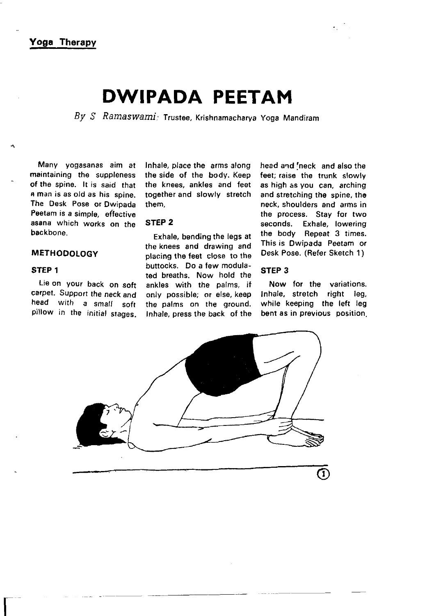Yoga Therapy

# DWIPADA PEETAM

 $Bv S$  Ramaswami: Trustee, Krishnamacharya Yoga Mandiram

Many yogasanas aim at maintaining the suppleness of the spine. lt is said that a man is as old as his spine. The Desk Pose or Dwipada Peetam is a simple, effective asana which works on the backbone.

## **METHODOLOGY**

## STEP 1

 $\overline{\mathsf{L}}$ 

Lie on your back on soft carpet. Support the neck and head with a small soft pillow in the initial srages.

Inhale, place the arms along the side of the body. Keep the knees, ankles and feet together and slowly stretch them.

## STEP 2

Exhale, bending the legs at the knees and drawing and placing the feet close to the buttocks. Do a few modulated breaths. Now hold the ankles with the palms, if only possible; or else, keep the palms on the ground. Inhale, press the back of the

head and 'neck and also the feet; raise the trunk slowly as high as you can, arching and stretching the spine, the neck, shoulders and arms in the process. Stay for two seconds. Exhale, lowering the body Repeat 3 times. This is Dwipada Peetam or Desk Pose. (Refer Sketch 1 )

## STEP 3

Now for the variations. Inhale, stretch right leg, while keeping the left leg bent as in previous position.

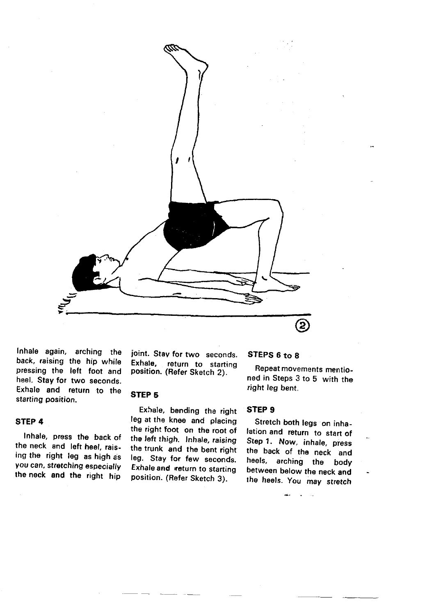

lnhale again, arching the back, raising the hip while pressing the left foot and heel. Stay for two seconds. Exhale and return to the starting position.

STEP 4

lnhale, press the back of the neck and left heel, raising the right leg as high as you can, stretching especially the neck and the right hip

joint. Stay for two seconds.<br>Exhale, return to starting return to starting position. (Refer Sketch 2).

### STEP 5

Exhale. bending the right leg at the knee and placing the right foot on the root of the left thigh. Inhale, raising the trunk and the bent right leg. Stay for few seconds. Exhale and veturn to starting position. (Befer Sketch 3).

# STEPS 6 to 8

Repeat movements mentioned in Steps 3 to 5 with the right leg bent.

## STEP 9

Stretch both legs on inhalation and return to start of Step 1. Now, inhale, press the back of the neck and heels. arching the body between below the neck and the heels. You may stretch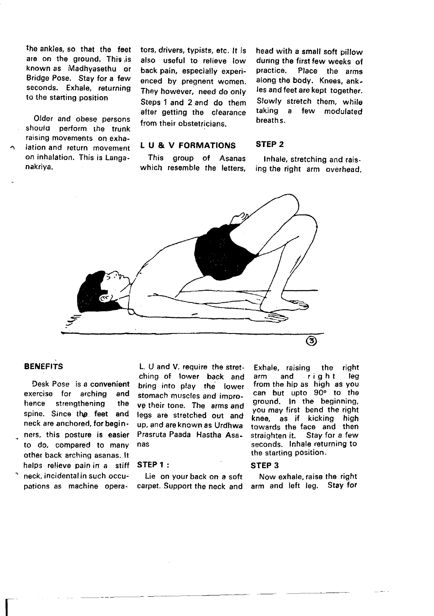the ankles, so that the feet are on the ground. This is known as Madhyasethu or Bridge Pose. Stay for a few seconds. Exhale, returning to the starting position

Older and obese persons should perform the trunk raising movements on exhalation and return movemenr on inhalation. This is Langanakriya.

tors, drivers, typists, etc. lt is also useful to relieve low back pain, especially experienced by pregnent women. They however, need do only Steps 1 and 2 and do them after getting the clearance from their obstetricians.

head with a small soft pillow dur,ng the firstfew weeks of Place the arms along the body. Knees, ankles and feet are kept together. Slowly stretch them, while taking a few modulated breaths.

## STEP 2

This group of Asanas which resemble the letters,

L U & V FORMATIONS

Inhale, stretching and rais. ing the right arm overhead.



## **BENEFITS**

 $\overline{\Gamma}$ 

Desk Pose is a convenient exercise for arching and hence strengthening the spine. Since the feet and neck are anchored, for beginners, this posture is easier to do, compared to many other back arching asanas. lt helps relieve pain in a stiff neck, incidental in such occupations as machine opera.

L, U and V, require the stretching of lower back and bring into play the lower stomach muscles and improve their tone. The arms and legs are stretched out and up, and are known as Urdhwa Prasruta Paada Hastha Asanas

#### STEP 1 :

Lie on your back on a soft carpet. Support the neck and

Exhale, raising the right<br>arm and right leg and right leg from the hip as high as you can but upto 90<sup>o</sup> to the ground. In the beginning, you may first bend the right knee, as if kicking high towards the face and then straighten it. Stay for a few seconds. Inhale returning to the starting position.

#### STEP 3

Now exhale, raise the right arm and left leg. Stay for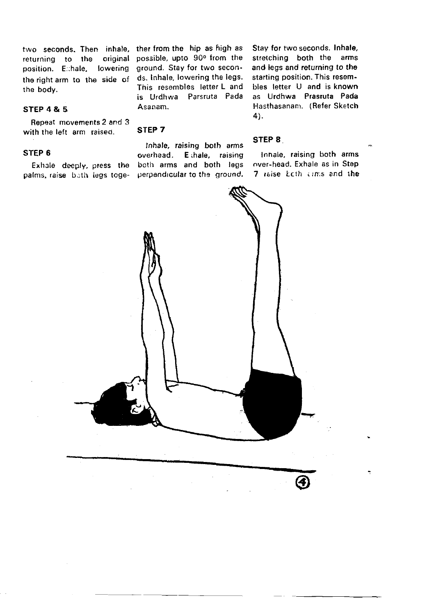two seconds. Then inhale, ther from the hip as high as returning to the original position. E:hale, lowering the right arm to the side of the body.

#### STEP4&5

Repeat movements 2 and 3 with the left arm raised.

#### STEP 6

Exhale deeply. press the palms, raise both legs toge-

possible, upto 90° from the ground. stay for two seconds. lnhale, lowering the legs. This resembles letter L and is Urdhwa Parsruta Pada Asanam.

lnhale. raising both arms overhead. E hale, raising both arms and both legs perpendrcular to the ground.

STEP 7

Stay for two seconds. lnhale, srretching both the arms and legs and returning to the starting position. This resembles letter U and is known as Urdhwa Prasruta Pada Hasthasanam. (Refer Sketch 4).

#### STEP 8

Innale, raising both arms over-head. Exhale as in Step 7 raise Ecth cims and the

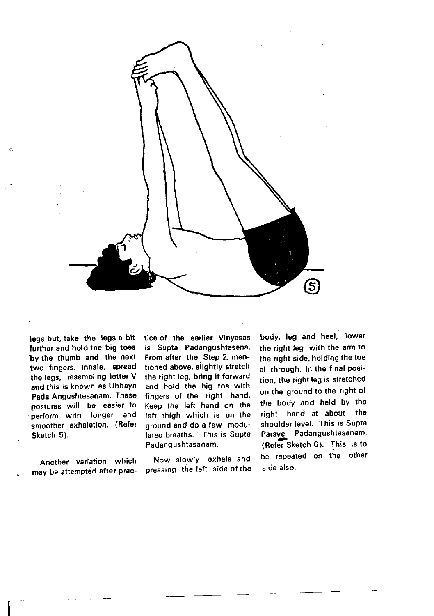

legs but, take the legs a bit further and hold the big toes 'by the thumb and the next two fingers. Inhale, spread the legs, resembling letter V and this is known as Ubhaya Pada Angushtasanam. These postures will be easier to perform with longer and smoother exhalation. (Refer Sketch 5).

Another variation which may be attempted after prac-

 $\overline{\mathbf{r}}$ 

tice of the earlier Vinyasas is Supta Padangushtasana. From after the Step 2, mentioned above, slightly strotch the right leg, bring it forward and hold the big toe with fingers of the right hand. Keep the left hand on the left thigh which is on the ground and do a few modulated breaths. This is Supta Padangushtasanam.

Now slowlY exhale and pressing the left side of the

body, leg and heel, lower the right leg with the.arm to the right side, holding the toe all through. In the final position, the right leg is stretched on the ground to the right ot the body and held bY the right hand at about the shoulder level. This is Supta Parsve Padangushtasanam. (Refer Sketch 6). This is to be repeated on the other side also.